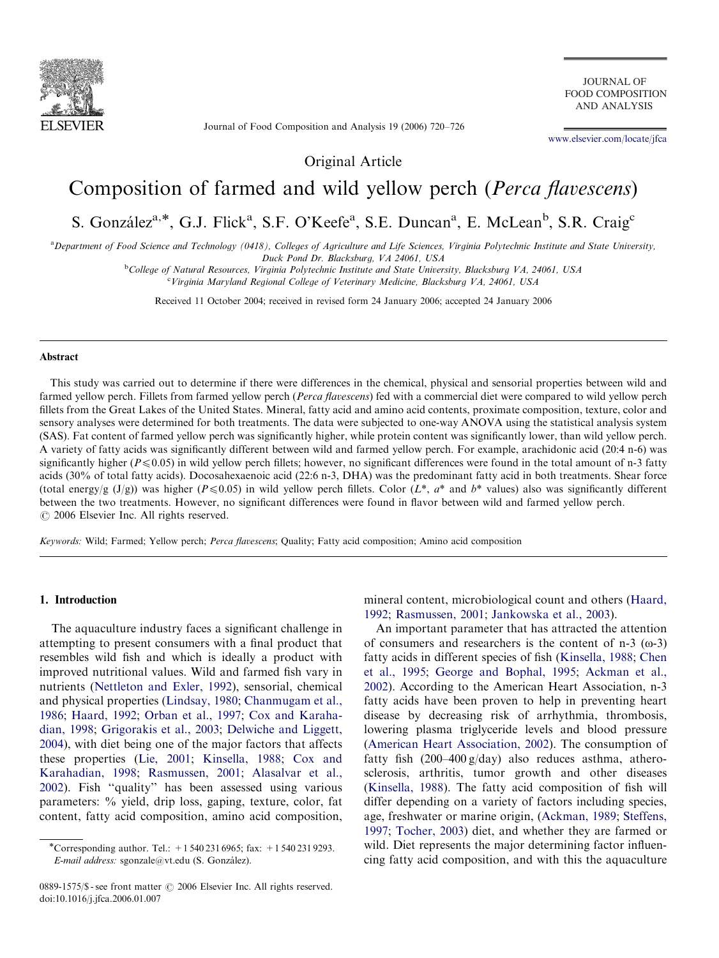

Journal of Food Composition and Analysis 19 (2006) 720–726

JOURNAL OF FOOD COMPOSITION AND ANALYSIS

<www.elsevier.com/locate/jfca>

Original Article

# Composition of farmed and wild yellow perch (Perca flavescens)

# S. González<sup>a,\*</sup>, G.J. Flick<sup>a</sup>, S.F. O'Keefe<sup>a</sup>, S.E. Duncan<sup>a</sup>, E. McLean<sup>b</sup>, S.R. Craig<sup>e</sup>

<sup>a</sup> Department of Food Science and Technology (0418), Colleges of Agriculture and Life Sciences, Virginia Polytechnic Institute and State University, Duck Pond Dr. Blacksburg, VA 24061, USA

<sup>b</sup>College of Natural Resources, Virginia Polytechnic Institute and State University, Blacksburg VA, 24061, USA

<sup>c</sup>Virginia Maryland Regional College of Veterinary Medicine, Blacksburg VA, 24061, USA

Received 11 October 2004; received in revised form 24 January 2006; accepted 24 January 2006

#### Abstract

This study was carried out to determine if there were differences in the chemical, physical and sensorial properties between wild and farmed yellow perch. Fillets from farmed yellow perch (Perca flavescens) fed with a commercial diet were compared to wild yellow perch fillets from the Great Lakes of the United States. Mineral, fatty acid and amino acid contents, proximate composition, texture, color and sensory analyses were determined for both treatments. The data were subjected to one-way ANOVA using the statistical analysis system (SAS). Fat content of farmed yellow perch was significantly higher, while protein content was significantly lower, than wild yellow perch. A variety of fatty acids was significantly different between wild and farmed yellow perch. For example, arachidonic acid (20:4 n-6) was significantly higher ( $P \le 0.05$ ) in wild yellow perch fillets; however, no significant differences were found in the total amount of n-3 fatty acids (30% of total fatty acids). Docosahexaenoic acid (22:6 n-3, DHA) was the predominant fatty acid in both treatments. Shear force (total energy/g  $(J/g)$ ) was higher ( $P \le 0.05$ ) in wild yellow perch fillets. Color ( $L^*$ ,  $a^*$  and  $b^*$  values) also was significantly different between the two treatments. However, no significant differences were found in flavor between wild and farmed yellow perch.  $\odot$  2006 Elsevier Inc. All rights reserved.

Keywords: Wild; Farmed; Yellow perch; Perca flavescens; Quality; Fatty acid composition; Amino acid composition

## 1. Introduction

The aquaculture industry faces a significant challenge in attempting to present consumers with a final product that resembles wild fish and which is ideally a product with improved nutritional values. Wild and farmed fish vary in nutrients [\(Nettleton and Exler, 1992](#page-6-0)), sensorial, chemical and physical properties ([Lindsay, 1980](#page-5-0); [Chanmugam et al.,](#page-5-0) [1986;](#page-5-0) [Haard, 1992](#page-5-0); [Orban et al., 1997;](#page-6-0) [Cox and Karaha](#page-5-0)[dian, 1998;](#page-5-0) [Grigorakis et al., 2003;](#page-5-0) [Delwiche and Liggett,](#page-5-0) [2004\)](#page-5-0), with diet being one of the major factors that affects these properties ([Lie, 2001](#page-5-0); [Kinsella, 1988](#page-5-0); [Cox and](#page-5-0) [Karahadian, 1998](#page-5-0); [Rasmussen, 2001;](#page-6-0) [Alasalvar et al.,](#page-5-0) [2002\)](#page-5-0). Fish ''quality'' has been assessed using various parameters: % yield, drip loss, gaping, texture, color, fat content, fatty acid composition, amino acid composition,

0889-1575/\$ - see front matter  $\odot$  2006 Elsevier Inc. All rights reserved. doi:10.1016/j.jfca.2006.01.007

mineral content, microbiological count and others [\(Haard,](#page-5-0) [1992;](#page-5-0) [Rasmussen, 2001](#page-6-0); [Jankowska et al., 2003\)](#page-5-0).

An important parameter that has attracted the attention of consumers and researchers is the content of  $n-3$  ( $\omega$ -3) fatty acids in different species of fish ([Kinsella, 1988;](#page-5-0) [Chen](#page-5-0) [et al., 1995;](#page-5-0) [George and Bophal, 1995](#page-5-0); [Ackman et al.,](#page-5-0) [2002\)](#page-5-0). According to the American Heart Association, n-3 fatty acids have been proven to help in preventing heart disease by decreasing risk of arrhythmia, thrombosis, lowering plasma triglyceride levels and blood pressure [\(American Heart Association, 2002\)](#page-5-0). The consumption of fatty fish (200–400 g/day) also reduces asthma, atherosclerosis, arthritis, tumor growth and other diseases [\(Kinsella, 1988](#page-5-0)). The fatty acid composition of fish will differ depending on a variety of factors including species, age, freshwater or marine origin, ([Ackman, 1989;](#page-5-0) [Steffens,](#page-6-0) [1997;](#page-6-0) [Tocher, 2003](#page-6-0)) diet, and whether they are farmed or wild. Diet represents the major determining factor influencing fatty acid composition, and with this the aquaculture

<sup>\*</sup>Corresponding author. Tel.:  $+15402316965$ ; fax:  $+15402319293$ . E-mail address: sgonzale@vt.edu (S. González).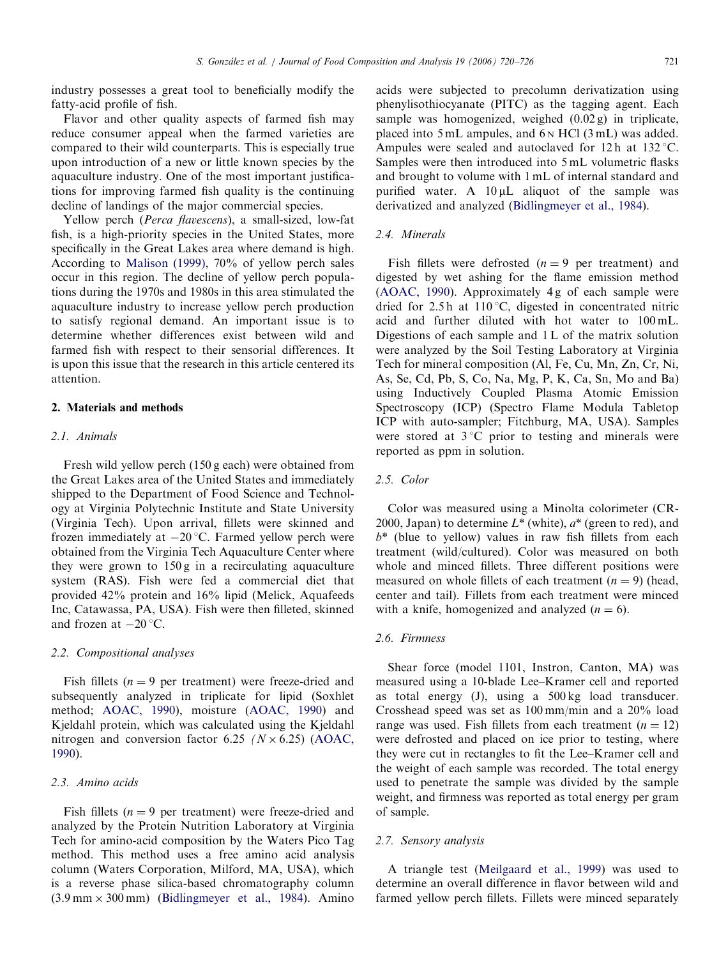industry possesses a great tool to beneficially modify the fatty-acid profile of fish.

Flavor and other quality aspects of farmed fish may reduce consumer appeal when the farmed varieties are compared to their wild counterparts. This is especially true upon introduction of a new or little known species by the aquaculture industry. One of the most important justifications for improving farmed fish quality is the continuing decline of landings of the major commercial species.

Yellow perch (Perca flavescens), a small-sized, low-fat fish, is a high-priority species in the United States, more specifically in the Great Lakes area where demand is high. According to [Malison \(1999\)](#page-6-0), 70% of yellow perch sales occur in this region. The decline of yellow perch populations during the 1970s and 1980s in this area stimulated the aquaculture industry to increase yellow perch production to satisfy regional demand. An important issue is to determine whether differences exist between wild and farmed fish with respect to their sensorial differences. It is upon this issue that the research in this article centered its attention.

## 2. Materials and methods

## 2.1. Animals

Fresh wild yellow perch (150 g each) were obtained from the Great Lakes area of the United States and immediately shipped to the Department of Food Science and Technology at Virginia Polytechnic Institute and State University (Virginia Tech). Upon arrival, fillets were skinned and frozen immediately at  $-20$  °C. Farmed yellow perch were obtained from the Virginia Tech Aquaculture Center where they were grown to 150 g in a recirculating aquaculture system (RAS). Fish were fed a commercial diet that provided 42% protein and 16% lipid (Melick, Aquafeeds Inc, Catawassa, PA, USA). Fish were then filleted, skinned and frozen at  $-20$  °C.

## 2.2. Compositional analyses

Fish fillets ( $n = 9$  per treatment) were freeze-dried and subsequently analyzed in triplicate for lipid (Soxhlet method; [AOAC, 1990](#page-5-0)), moisture ([AOAC, 1990\)](#page-5-0) and Kjeldahl protein, which was calculated using the Kjeldahl nitrogen and conversion factor 6.25 ( $N \times 6.25$ ) ([AOAC,](#page-5-0) [1990](#page-5-0)).

## 2.3. Amino acids

Fish fillets ( $n = 9$  per treatment) were freeze-dried and analyzed by the Protein Nutrition Laboratory at Virginia Tech for amino-acid composition by the Waters Pico Tag method. This method uses a free amino acid analysis column (Waters Corporation, Milford, MA, USA), which is a reverse phase silica-based chromatography column  $(3.9 \text{ mm} \times 300 \text{ mm})$  [\(Bidlingmeyer et al., 1984](#page-5-0)). Amino

acids were subjected to precolumn derivatization using phenylisothiocyanate (PITC) as the tagging agent. Each sample was homogenized, weighed (0.02 g) in triplicate, placed into 5 mL ampules, and 6 <sup>N</sup> HCl (3 mL) was added. Ampules were sealed and autoclaved for 12h at  $132 \degree C$ . Samples were then introduced into 5 mL volumetric flasks and brought to volume with 1 mL of internal standard and purified water. A  $10 \mu L$  aliquot of the sample was derivatized and analyzed ([Bidlingmeyer et al., 1984](#page-5-0)).

## 2.4. Minerals

Fish fillets were defrosted  $(n = 9$  per treatment) and digested by wet ashing for the flame emission method ([AOAC, 1990\)](#page-5-0). Approximately 4 g of each sample were dried for  $2.5 h$  at  $110 °C$ , digested in concentrated nitric acid and further diluted with hot water to 100 mL. Digestions of each sample and 1 L of the matrix solution were analyzed by the Soil Testing Laboratory at Virginia Tech for mineral composition (Al, Fe, Cu, Mn, Zn, Cr, Ni, As, Se, Cd, Pb, S, Co, Na, Mg, P, K, Ca, Sn, Mo and Ba) using Inductively Coupled Plasma Atomic Emission Spectroscopy (ICP) (Spectro Flame Modula Tabletop ICP with auto-sampler; Fitchburg, MA, USA). Samples were stored at  $3^{\circ}$ C prior to testing and minerals were reported as ppm in solution.

#### 2.5. Color

Color was measured using a Minolta colorimeter (CR-2000, Japan) to determine  $L^*$  (white),  $a^*$  (green to red), and  $b^*$  (blue to yellow) values in raw fish fillets from each treatment (wild/cultured). Color was measured on both whole and minced fillets. Three different positions were measured on whole fillets of each treatment  $(n = 9)$  (head, center and tail). Fillets from each treatment were minced with a knife, homogenized and analyzed  $(n = 6)$ .

## 2.6. Firmness

Shear force (model 1101, Instron, Canton, MA) was measured using a 10-blade Lee–Kramer cell and reported as total energy (J), using a 500 kg load transducer. Crosshead speed was set as 100 mm/min and a 20% load range was used. Fish fillets from each treatment  $(n = 12)$ were defrosted and placed on ice prior to testing, where they were cut in rectangles to fit the Lee–Kramer cell and the weight of each sample was recorded. The total energy used to penetrate the sample was divided by the sample weight, and firmness was reported as total energy per gram of sample.

## 2.7. Sensory analysis

A triangle test ([Meilgaard et al., 1999](#page-6-0)) was used to determine an overall difference in flavor between wild and farmed yellow perch fillets. Fillets were minced separately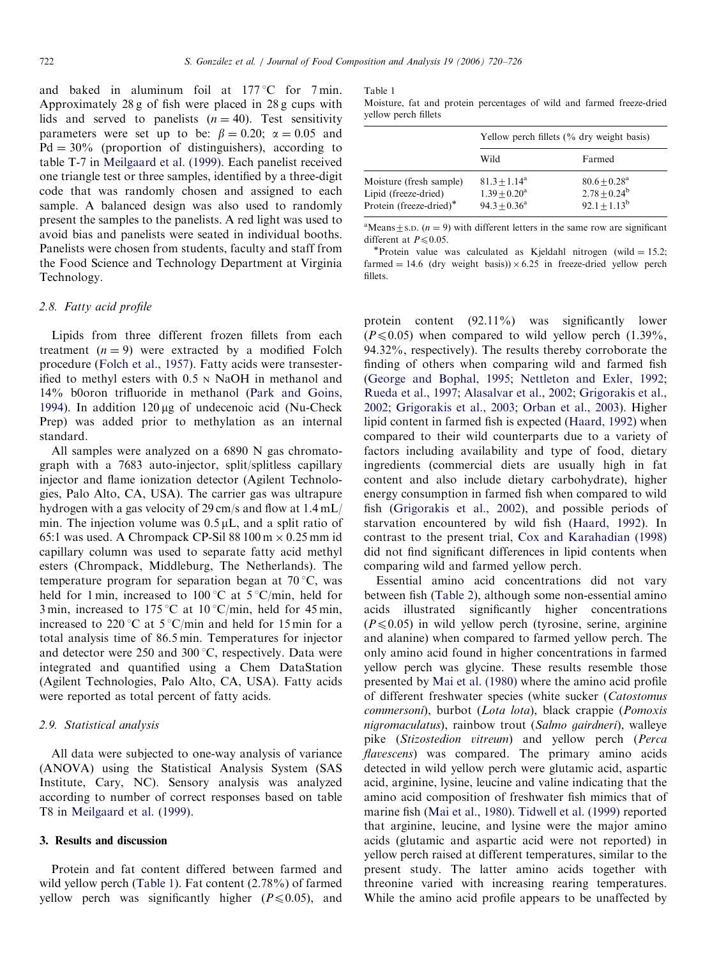and baked in aluminum foil at  $177^{\circ}$ C for 7 min. Approximately 28 g of fish were placed in 28 g cups with lids and served to panelists  $(n = 40)$ . Test sensitivity parameters were set up to be:  $\beta = 0.20$ ;  $\alpha = 0.05$  and  $Pd = 30\%$  (proportion of distinguishers), according to table T-7 in [Meilgaard et al. \(1999\)](#page-6-0). Each panelist received one triangle test or three samples, identified by a three-digit code that was randomly chosen and assigned to each sample. A balanced design was also used to randomly present the samples to the panelists. A red light was used to avoid bias and panelists were seated in individual booths. Panelists were chosen from students, faculty and staff from the Food Science and Technology Department at Virginia Technology.

## 2.8. Fatty acid profile

Lipids from three different frozen fillets from each treatment  $(n = 9)$  were extracted by a modified Folch procedure ([Folch et al., 1957\)](#page-5-0). Fatty acids were transesterified to methyl esters with 0.5 <sup>N</sup> NaOH in methanol and 14% b0oron trifluoride in methanol [\(Park and Goins,](#page-6-0) [1994\)](#page-6-0). In addition  $120 \mu g$  of undecenoic acid (Nu-Check Prep) was added prior to methylation as an internal standard.

All samples were analyzed on a 6890 N gas chromatograph with a 7683 auto-injector, split/splitless capillary injector and flame ionization detector (Agilent Technologies, Palo Alto, CA, USA). The carrier gas was ultrapure hydrogen with a gas velocity of 29 cm/s and flow at 1.4 mL/ min. The injection volume was  $0.5 \mu L$ , and a split ratio of 65:1 was used. A Chrompack CP-Sil 88  $100 \text{ m} \times 0.25 \text{ mm}$  id capillary column was used to separate fatty acid methyl esters (Chrompack, Middleburg, The Netherlands). The temperature program for separation began at  $70^{\circ}$ C, was held for 1 min, increased to 100 °C at  $5$  °C/min, held for 3 min, increased to 175 °C at 10 °C/min, held for 45 min, increased to 220 °C at  $5$  °C/min and held for 15 min for a total analysis time of 86.5 min. Temperatures for injector and detector were  $250$  and  $300^{\circ}$ C, respectively. Data were integrated and quantified using a Chem DataStation (Agilent Technologies, Palo Alto, CA, USA). Fatty acids were reported as total percent of fatty acids.

## 2.9. Statistical analysis

All data were subjected to one-way analysis of variance (ANOVA) using the Statistical Analysis System (SAS Institute, Cary, NC). Sensory analysis was analyzed according to number of correct responses based on table T8 in [Meilgaard et al. \(1999\).](#page-6-0)

## 3. Results and discussion

Protein and fat content differed between farmed and wild yellow perch (Table 1). Fat content (2.78%) of farmed yellow perch was significantly higher ( $P \le 0.05$ ), and Table 1

Moisture, fat and protein percentages of wild and farmed freeze-dried yellow perch fillets

|                                                                            | Yellow perch fillets $(\%$ dry weight basis)          |                                                                  |  |
|----------------------------------------------------------------------------|-------------------------------------------------------|------------------------------------------------------------------|--|
|                                                                            | Wild                                                  | Farmed                                                           |  |
| Moisture (fresh sample)<br>Lipid (freeze-dried)<br>Protein (freeze-dried)* | $81.3 + 1.14^a$<br>$1.39 + 0.20^a$<br>$94.3 + 0.36^a$ | $80.6 + 0.28$ <sup>a</sup><br>$2.78 + 0.24^b$<br>$92.1 + 1.13^b$ |  |

<sup>a</sup>Means  $\pm$  s.D. (*n* = 9) with different letters in the same row are significant different at  $P \le 0.05$ .<br>\*Protein value was calculated as Kjeldahl nitrogen (wild = 15.2;

farmed  $= 14.6$  (dry weight basis))  $\times$  6.25 in freeze-dried yellow perch fillets.

protein content (92.11%) was significantly lower  $(P \le 0.05)$  when compared to wild yellow perch  $(1.39\%),$ 94.32%, respectively). The results thereby corroborate the finding of others when comparing wild and farmed fish [\(George and Bophal, 1995;](#page-5-0) [Nettleton and Exler, 1992](#page-6-0); [Rueda et al., 1997](#page-6-0); [Alasalvar et al., 2002;](#page-5-0) [Grigorakis et al.,](#page-5-0) [2002;](#page-5-0) [Grigorakis et al., 2003;](#page-5-0) [Orban et al., 2003](#page-6-0)). Higher lipid content in farmed fish is expected [\(Haard, 1992](#page-5-0)) when compared to their wild counterparts due to a variety of factors including availability and type of food, dietary ingredients (commercial diets are usually high in fat content and also include dietary carbohydrate), higher energy consumption in farmed fish when compared to wild fish [\(Grigorakis et al., 2002\)](#page-5-0), and possible periods of starvation encountered by wild fish ([Haard, 1992](#page-5-0)). In contrast to the present trial, [Cox and Karahadian \(1998\)](#page-5-0) did not find significant differences in lipid contents when comparing wild and farmed yellow perch.

Essential amino acid concentrations did not vary between fish [\(Table 2\)](#page-3-0), although some non-essential amino acids illustrated significantly higher concentrations  $(P \le 0.05)$  in wild yellow perch (tyrosine, serine, arginine and alanine) when compared to farmed yellow perch. The only amino acid found in higher concentrations in farmed yellow perch was glycine. These results resemble those presented by [Mai et al. \(1980\)](#page-5-0) where the amino acid profile of different freshwater species (white sucker (Catostomus commersoni), burbot (Lota lota), black crappie (Pomoxis nigromaculatus), rainbow trout (Salmo gairdneri), walleye pike (Stizostedion vitreum) and yellow perch (Perca flavescens) was compared. The primary amino acids detected in wild yellow perch were glutamic acid, aspartic acid, arginine, lysine, leucine and valine indicating that the amino acid composition of freshwater fish mimics that of marine fish ([Mai et al., 1980\)](#page-5-0). [Tidwell et al. \(1999\)](#page-6-0) reported that arginine, leucine, and lysine were the major amino acids (glutamic and aspartic acid were not reported) in yellow perch raised at different temperatures, similar to the present study. The latter amino acids together with threonine varied with increasing rearing temperatures. While the amino acid profile appears to be unaffected by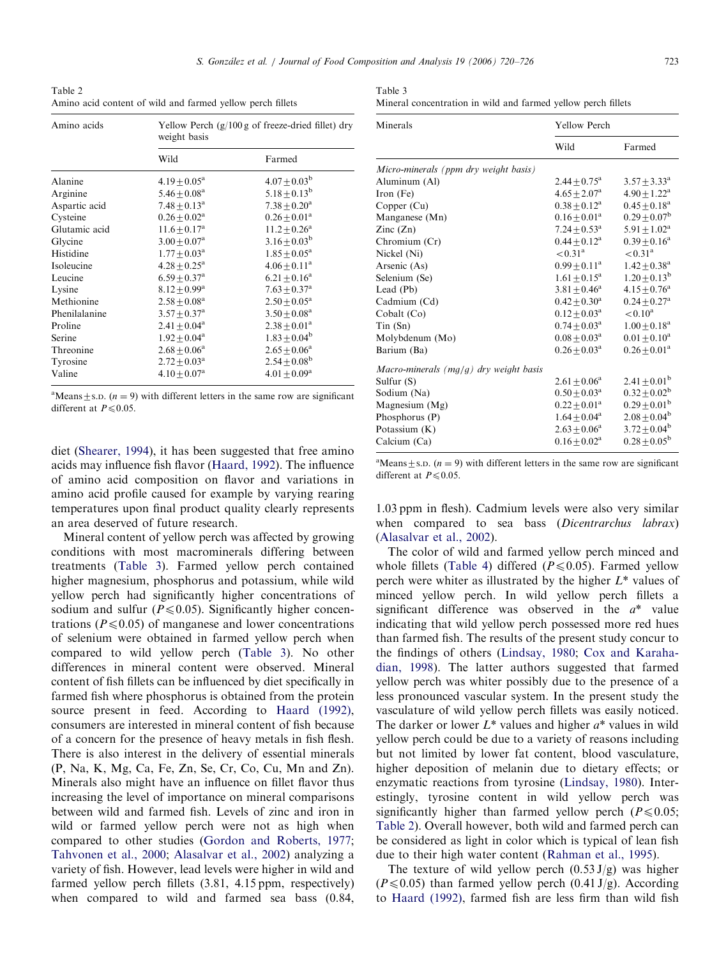<sup>a</sup>Means  $\pm$  s.D. (*n* = 9) with different letters in the same row are significant different at  $P \le 0.05$ .

diet [\(Shearer, 1994](#page-6-0)), it has been suggested that free amino acids may influence fish flavor [\(Haard, 1992](#page-5-0)). The influence of amino acid composition on flavor and variations in amino acid profile caused for example by varying rearing temperatures upon final product quality clearly represents an area deserved of future research.

Mineral content of yellow perch was affected by growing conditions with most macrominerals differing between treatments (Table 3). Farmed yellow perch contained higher magnesium, phosphorus and potassium, while wild yellow perch had significantly higher concentrations of sodium and sulfur ( $P \le 0.05$ ). Significantly higher concentrations ( $P \le 0.05$ ) of manganese and lower concentrations of selenium were obtained in farmed yellow perch when compared to wild yellow perch (Table 3). No other differences in mineral content were observed. Mineral content of fish fillets can be influenced by diet specifically in farmed fish where phosphorus is obtained from the protein source present in feed. According to [Haard \(1992\),](#page-5-0) consumers are interested in mineral content of fish because of a concern for the presence of heavy metals in fish flesh. There is also interest in the delivery of essential minerals (P, Na, K, Mg, Ca, Fe, Zn, Se, Cr, Co, Cu, Mn and Zn). Minerals also might have an influence on fillet flavor thus increasing the level of importance on mineral comparisons between wild and farmed fish. Levels of zinc and iron in wild or farmed yellow perch were not as high when compared to other studies ([Gordon and Roberts, 1977;](#page-5-0) [Tahvonen et al., 2000;](#page-6-0) [Alasalvar et al., 2002\)](#page-5-0) analyzing a variety of fish. However, lead levels were higher in wild and farmed yellow perch fillets (3.81, 4.15 ppm, respectively) when compared to wild and farmed sea bass (0.84,

<sup>a</sup>Means  $\pm$  s.D. (*n* = 9) with different letters in the same row are significant different at  $P \le 0.05$ .

1.03 ppm in flesh). Cadmium levels were also very similar when compared to sea bass (Dicentrarchus labrax) ([Alasalvar et al., 2002](#page-5-0)).

The color of wild and farmed yellow perch minced and whole fillets [\(Table 4\)](#page-4-0) differed ( $P \le 0.05$ ). Farmed yellow perch were whiter as illustrated by the higher  $L^*$  values of minced yellow perch. In wild yellow perch fillets a significant difference was observed in the  $a^*$  value indicating that wild yellow perch possessed more red hues than farmed fish. The results of the present study concur to the findings of others [\(Lindsay, 1980;](#page-5-0) [Cox and Karaha](#page-5-0)[dian, 1998](#page-5-0)). The latter authors suggested that farmed yellow perch was whiter possibly due to the presence of a less pronounced vascular system. In the present study the vasculature of wild yellow perch fillets was easily noticed. The darker or lower  $L^*$  values and higher  $a^*$  values in wild yellow perch could be due to a variety of reasons including but not limited by lower fat content, blood vasculature, higher deposition of melanin due to dietary effects; or enzymatic reactions from tyrosine [\(Lindsay, 1980](#page-5-0)). Interestingly, tyrosine content in wild yellow perch was significantly higher than farmed yellow perch ( $P \le 0.05$ ; Table 2). Overall however, both wild and farmed perch can be considered as light in color which is typical of lean fish due to their high water content [\(Rahman et al., 1995\)](#page-6-0).

The texture of wild yellow perch  $(0.53 J/g)$  was higher  $(P \le 0.05)$  than farmed yellow perch  $(0.41 \text{ J/g})$ . According to [Haard \(1992\)](#page-5-0), farmed fish are less firm than wild fish

<span id="page-3-0"></span>

| Table 2                                                    |  |
|------------------------------------------------------------|--|
| Amino acid content of wild and farmed yellow perch fillets |  |

| Amino acids   | weight basis                 | Yellow Perch $(g/100 g$ of freeze-dried fillet) dry |  |  |
|---------------|------------------------------|-----------------------------------------------------|--|--|
|               | Wild                         | Farmed                                              |  |  |
| Alanine       | $4.19 + 0.05^a$              | $4.07 \pm 0.03^{\rm b}$                             |  |  |
| Arginine      | $5.46 + 0.08$ <sup>a</sup>   | $5.18 \pm 0.13^b$                                   |  |  |
| Aspartic acid | $7.48 \pm 0.13$ <sup>a</sup> | $7.38 \pm 0.20^a$                                   |  |  |
| Cysteine      | $0.26 + 0.02^a$              | $0.26 \pm 0.01^a$                                   |  |  |
| Glutamic acid | $11.6 + 0.17^a$              | $11.2 + 0.26^a$                                     |  |  |
| Glycine       | $3.00 + 0.07$ <sup>a</sup>   | $3.16 + 0.03^b$                                     |  |  |
| Histidine     | $1.77 + 0.03^{\text{a}}$     | $1.85 + 0.05^{\rm a}$                               |  |  |
| Isoleucine    | $4.28 + 0.25^{\text{a}}$     | $4.06 \pm 0.11^a$                                   |  |  |
| Leucine       | $6.59 + 0.37$ <sup>a</sup>   | $6.21 \pm 0.16^a$                                   |  |  |
| Lysine        | $8.12 + 0.99^{\rm a}$        | $7.63 \pm 0.37$ <sup>a</sup>                        |  |  |
| Methionine    | $2.58\pm0.08^{\rm a}$        | $2.50\pm0.05^{\rm a}$                               |  |  |
| Phenilalanine | $3.57 + 0.37^{\rm a}$        | $3.50 + 0.08^a$                                     |  |  |
| Proline       | $2.41 + 0.04^a$              | $2.38 + 0.01^a$                                     |  |  |
| Serine        | $1.92 + 0.04^a$              | $1.83 \pm 0.04^{\rm b}$                             |  |  |
| Threonine     | $2.68 + 0.06^a$              | $2.65 + 0.06^a$                                     |  |  |
| Tyrosine      | $2.72 + 0.03^{\text{a}}$     | $2.54 \pm 0.08^{\rm b}$                             |  |  |
| Valine        | $4.10 + 0.07^a$              | $4.01 + 0.09^{\rm a}$                               |  |  |

| Table 3                                                       |  |  |  |  |
|---------------------------------------------------------------|--|--|--|--|
| Mineral concentration in wild and farmed yellow perch fillets |  |  |  |  |

| Minerals                               | Yellow Perch             |                              |  |  |
|----------------------------------------|--------------------------|------------------------------|--|--|
|                                        | Wild                     | Farmed                       |  |  |
| Micro-minerals (ppm dry weight basis)  |                          |                              |  |  |
| Aluminum (Al)                          | $2.44 + 0.75^{\rm a}$    | $3.57 + 3.33^{\rm a}$        |  |  |
| Iron $(Fe)$                            | $4.65 + 2.07^{\rm a}$    | $4.90 + 1.22^{\rm a}$        |  |  |
| Copper $(Cu)$                          | $0.38 \pm 0.12^a$        | $0.45 + 0.18^a$              |  |  |
| Manganese (Mn)                         | $0.16 \pm 0.01^a$        | $0.29 \pm 0.07^{\rm b}$      |  |  |
| $\text{Zinc}(\text{Zn})$               | $7.24 \pm 0.53^{\rm a}$  | $5.91 + 1.02^a$              |  |  |
| Chromium (Cr)                          | $0.44 + 0.12^a$          | $0.39 \pm 0.16^a$            |  |  |
| Nickel (Ni)                            | $< 0.31^{\rm a}$         | $< 0.31^{\rm a}$             |  |  |
| Arsenic (As)                           | $0.99 + 0.11^a$          | $1.42 + 0.38$ <sup>a</sup>   |  |  |
| Selenium (Se)                          | $1.61 \pm 0.15^a$        | $1.20 \pm 0.13^{\rm b}$      |  |  |
| Lead (Pb)                              | $3.81 + 0.46^a$          | $4.15 + 0.76^a$              |  |  |
| Cadmium (Cd)                           | $0.42 \pm 0.30^a$        | $0.24 \pm 0.27$ <sup>a</sup> |  |  |
| Cobalt (Co)                            | $0.12 + 0.03^a$          | $< 0.10^a$                   |  |  |
| Tin(Sn)                                | $0.74 \pm 0.03^{\rm a}$  | $1.00 \pm 0.18^a$            |  |  |
| Molybdenum (Mo)                        | $0.08\pm0.03^{\rm a}$    | $0.01 + 0.10^a$              |  |  |
| Barium (Ba)                            | $0.26 + 0.03^{\text{a}}$ | $0.26 + 0.01^a$              |  |  |
| Macro-minerals (mg/g) dry weight basis |                          |                              |  |  |
| Sulfur $(S)$                           | $2.61 + 0.06^a$          | $2.41 \pm 0.01^{\rm b}$      |  |  |
| Sodium (Na)                            | $0.50 \pm 0.03^a$        | $0.32 \pm 0.02^{\rm b}$      |  |  |
| Magnesium (Mg)                         | $0.22 \pm 0.01^a$        | $0.29 \pm 0.01^{\rm b}$      |  |  |
| Phosphorus (P)                         | $1.64 \pm 0.04^a$        | $2.08 \pm 0.04^b$            |  |  |
| Potassium (K)                          | $2.63 \pm 0.06^a$        | $3.72 \pm 0.04^b$            |  |  |
| Calcium (Ca)                           | $0.16 \pm 0.02^a$        | $0.28 + 0.05^{\rm b}$        |  |  |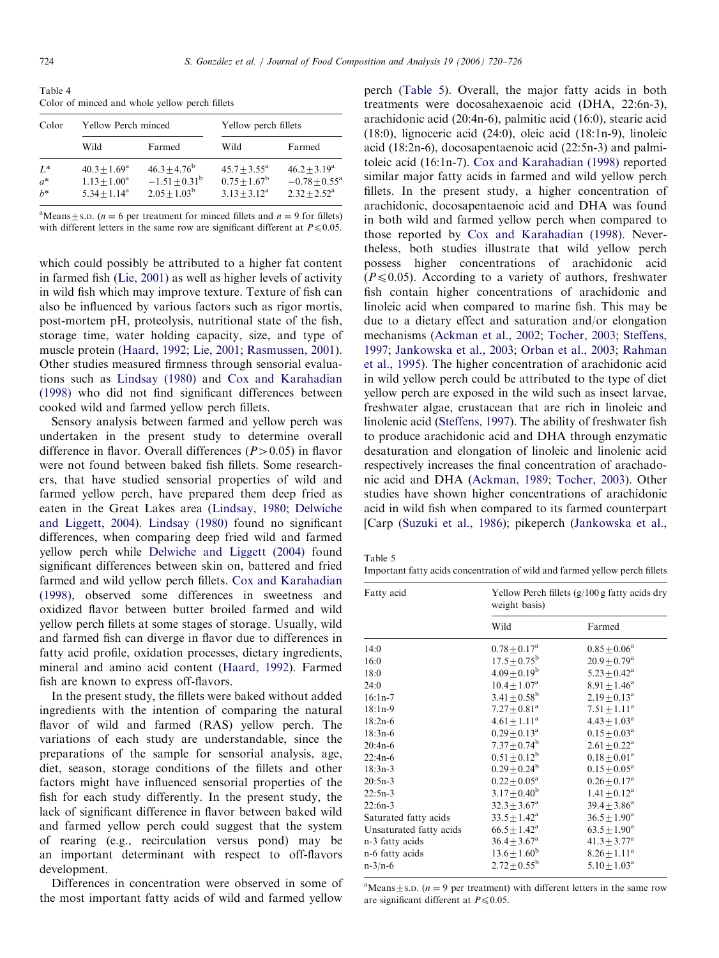<span id="page-4-0"></span>Table 4 Color of minced and whole yellow perch fillets

| Color                   | Yellow Perch minced                                         |                                                                        | Yellow perch fillets                                             |                                                                         |  |
|-------------------------|-------------------------------------------------------------|------------------------------------------------------------------------|------------------------------------------------------------------|-------------------------------------------------------------------------|--|
|                         | Wild                                                        | Farmed                                                                 | Wild                                                             | Farmed                                                                  |  |
| $L^*$<br>$a^*$<br>$h^*$ | $40.3 + 1.69^{\rm a}$<br>$1.13 + 1.00^a$<br>$5.34 + 1.14^a$ | $46.3 \pm 4.76^{\rm b}$<br>$-1.51 \pm 0.31^{\rm b}$<br>$2.05 + 1.03^b$ | $45.7 + 3.55^{\mathrm{a}}$<br>$0.75 + 1.67^b$<br>$3.13 + 3.12^a$ | $46.2 + 3.19^a$<br>$-0.78 + 0.55^{\mathrm{a}}$<br>$2.32 + 2.52^{\rm a}$ |  |

<sup>a</sup>Means  $\pm$  s.D. (*n* = 6 per treatment for minced fillets and *n* = 9 for fillets) with different letters in the same row are significant different at  $P \le 0.05$ .

which could possibly be attributed to a higher fat content in farmed fish ([Lie, 2001\)](#page-5-0) as well as higher levels of activity in wild fish which may improve texture. Texture of fish can also be influenced by various factors such as rigor mortis, post-mortem pH, proteolysis, nutritional state of the fish, storage time, water holding capacity, size, and type of muscle protein [\(Haard, 1992](#page-5-0); [Lie, 2001;](#page-5-0) [Rasmussen, 2001\)](#page-6-0). Other studies measured firmness through sensorial evaluations such as [Lindsay \(1980\)](#page-5-0) and [Cox and Karahadian](#page-5-0) [\(1998\)](#page-5-0) who did not find significant differences between cooked wild and farmed yellow perch fillets.

Sensory analysis between farmed and yellow perch was undertaken in the present study to determine overall difference in flavor. Overall differences  $(P>0.05)$  in flavor were not found between baked fish fillets. Some researchers, that have studied sensorial properties of wild and farmed yellow perch, have prepared them deep fried as eaten in the Great Lakes area ([Lindsay, 1980](#page-5-0); [Delwiche](#page-5-0) [and Liggett, 2004\)](#page-5-0). [Lindsay \(1980\)](#page-5-0) found no significant differences, when comparing deep fried wild and farmed yellow perch while [Delwiche and Liggett \(2004\)](#page-5-0) found significant differences between skin on, battered and fried farmed and wild yellow perch fillets. [Cox and Karahadian](#page-5-0) [\(1998\)](#page-5-0), observed some differences in sweetness and oxidized flavor between butter broiled farmed and wild yellow perch fillets at some stages of storage. Usually, wild and farmed fish can diverge in flavor due to differences in fatty acid profile, oxidation processes, dietary ingredients, mineral and amino acid content [\(Haard, 1992](#page-5-0)). Farmed fish are known to express off-flavors.

In the present study, the fillets were baked without added ingredients with the intention of comparing the natural flavor of wild and farmed (RAS) yellow perch. The variations of each study are understandable, since the preparations of the sample for sensorial analysis, age, diet, season, storage conditions of the fillets and other factors might have influenced sensorial properties of the fish for each study differently. In the present study, the lack of significant difference in flavor between baked wild and farmed yellow perch could suggest that the system of rearing (e.g., recirculation versus pond) may be an important determinant with respect to off-flavors development.

Differences in concentration were observed in some of the most important fatty acids of wild and farmed yellow perch (Table 5). Overall, the major fatty acids in both treatments were docosahexaenoic acid (DHA, 22:6n-3), arachidonic acid (20:4n-6), palmitic acid (16:0), stearic acid (18:0), lignoceric acid (24:0), oleic acid (18:1n-9), linoleic acid (18:2n-6), docosapentaenoic acid (22:5n-3) and palmitoleic acid (16:1n-7). [Cox and Karahadian \(1998\)](#page-5-0) reported similar major fatty acids in farmed and wild yellow perch fillets. In the present study, a higher concentration of arachidonic, docosapentaenoic acid and DHA was found in both wild and farmed yellow perch when compared to those reported by [Cox and Karahadian \(1998\)](#page-5-0). Nevertheless, both studies illustrate that wild yellow perch possess higher concentrations of arachidonic acid  $(P \le 0.05)$ . According to a variety of authors, freshwater fish contain higher concentrations of arachidonic and linoleic acid when compared to marine fish. This may be due to a dietary effect and saturation and/or elongation mechanisms [\(Ackman et al., 2002;](#page-5-0) [Tocher, 2003](#page-6-0); [Steffens,](#page-6-0) [1997;](#page-6-0) [Jankowska et al., 2003;](#page-5-0) [Orban et al., 2003;](#page-6-0) [Rahman](#page-6-0) [et al., 1995\)](#page-6-0). The higher concentration of arachidonic acid in wild yellow perch could be attributed to the type of diet yellow perch are exposed in the wild such as insect larvae, freshwater algae, crustacean that are rich in linoleic and linolenic acid ([Steffens, 1997](#page-6-0)). The ability of freshwater fish to produce arachidonic acid and DHA through enzymatic desaturation and elongation of linoleic and linolenic acid respectively increases the final concentration of arachadonic acid and DHA [\(Ackman, 1989](#page-5-0); [Tocher, 2003\)](#page-6-0). Other studies have shown higher concentrations of arachidonic acid in wild fish when compared to its farmed counterpart [Carp ([Suzuki et al., 1986](#page-6-0)); pikeperch ([Jankowska et al.,](#page-5-0)

Table 5

Important fatty acids concentration of wild and farmed yellow perch fillets

| Fatty acid              | Yellow Perch fillets (g/100 g fatty acids dry<br>weight basis) |                            |  |
|-------------------------|----------------------------------------------------------------|----------------------------|--|
|                         | Wild                                                           | Farmed                     |  |
| 14:0                    | $0.78 \pm 0.17^{\rm a}$                                        | $0.85 + 0.06^a$            |  |
| 16:0                    | $17.5 \pm 0.75^{\rm b}$                                        | $20.9 + 0.79$ <sup>a</sup> |  |
| 18:0                    | $4.09 \pm 0.19^b$                                              | $5.23 + 0.42^a$            |  |
| 24:0                    | $10.4 + 1.07^{\rm a}$                                          | $8.91 \pm 1.46^a$          |  |
| $16:1n-7$               | $3.41 + 0.58^{\rm b}$                                          | $2.19 + 0.13^a$            |  |
| $18:1n-9$               | $7.27 + 0.81$ <sup>a</sup>                                     | $7.51 + 1.11^a$            |  |
| $18:2n-6$               | $4.61 + 1.11^a$                                                | $4.43 + 1.03^{\rm a}$      |  |
| $18:3n-6$               | $0.29 + 0.13^a$                                                | $0.15 + 0.03^{\text{a}}$   |  |
| $20:4n-6$               | $7.37 \pm 0.74^{\rm b}$                                        | $2.61 + 0.22^a$            |  |
| $22:4n-6$               | $0.51 + 0.12^b$                                                | $0.18 \pm 0.01^a$          |  |
| $18:3n-3$               | $0.29 \pm 0.24^b$                                              | $0.15 + 0.05^a$            |  |
| $20:5n-3$               | $0.22 + 0.05^a$                                                | $0.26 + 0.17^a$            |  |
| $22:5n-3$               | $3.17 + 0.40^b$                                                | $1.41 + 0.12^a$            |  |
| $22:6n-3$               | $32.3 + 3.67^{\rm a}$                                          | $39.4 + 3.86^a$            |  |
| Saturated fatty acids   | $33.5 + 1.42^a$                                                | $36.5 \pm 1.90^a$          |  |
| Unsaturated fatty acids | $66.5 + 1.42^{\rm a}$                                          | $63.5 + 1.90^{\rm a}$      |  |
| n-3 fatty acids         | $36.4 \pm 3.67^{\rm a}$                                        | $41.3 \pm 3.77^{\rm a}$    |  |
| n-6 fatty acids         | $13.6 \pm 1.60^b$                                              | $8.26 \pm 1.11^a$          |  |
| $n-3/n-6$               | $2.72 + 0.55^{\rm b}$                                          | $5.10 \pm 1.03^{\rm a}$    |  |

<sup>a</sup>Means  $\pm$  s.D. (*n* = 9 per treatment) with different letters in the same row are significant different at  $P \le 0.05$ .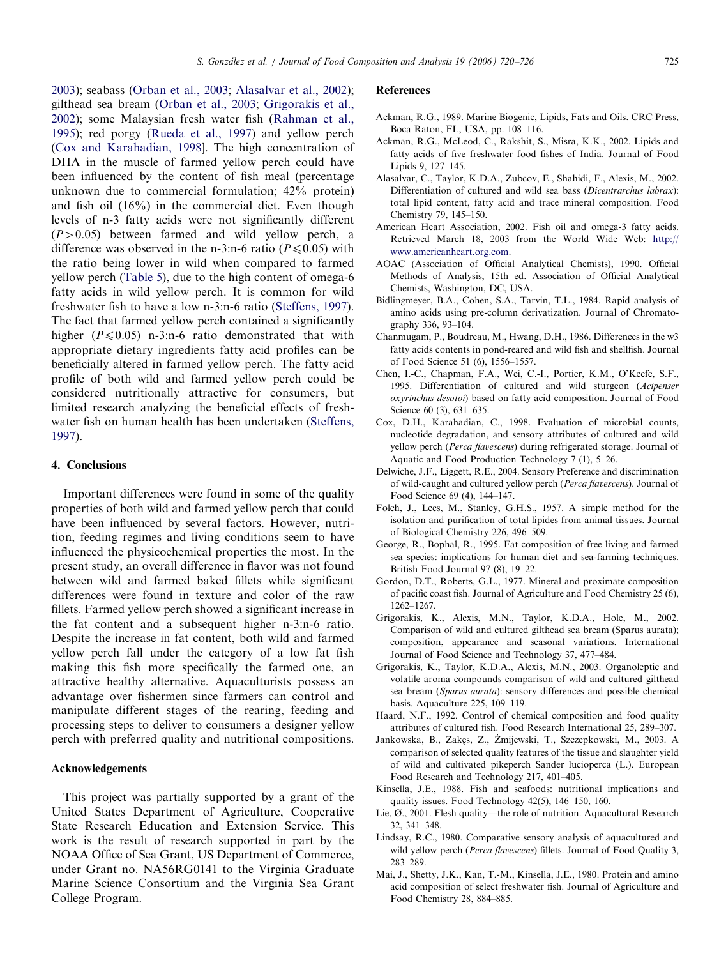<span id="page-5-0"></span>2003); seabass [\(Orban et al., 2003](#page-6-0); Alasalvar et al., 2002); gilthead sea bream ([Orban et al., 2003](#page-6-0); Grigorakis et al., 2002); some Malaysian fresh water fish [\(Rahman et al.,](#page-6-0) [1995](#page-6-0)); red porgy [\(Rueda et al., 1997\)](#page-6-0) and yellow perch (Cox and Karahadian, 1998]. The high concentration of DHA in the muscle of farmed yellow perch could have been influenced by the content of fish meal (percentage unknown due to commercial formulation; 42% protein) and fish oil (16%) in the commercial diet. Even though levels of n-3 fatty acids were not significantly different  $(P>0.05)$  between farmed and wild yellow perch, a difference was observed in the n-3:n-6 ratio ( $P \le 0.05$ ) with the ratio being lower in wild when compared to farmed yellow perch ([Table 5\)](#page-4-0), due to the high content of omega-6 fatty acids in wild yellow perch. It is common for wild freshwater fish to have a low n-3:n-6 ratio [\(Steffens, 1997\)](#page-6-0). The fact that farmed yellow perch contained a significantly higher  $(P \le 0.05)$  n-3:n-6 ratio demonstrated that with appropriate dietary ingredients fatty acid profiles can be beneficially altered in farmed yellow perch. The fatty acid profile of both wild and farmed yellow perch could be considered nutritionally attractive for consumers, but limited research analyzing the beneficial effects of freshwater fish on human health has been undertaken [\(Steffens,](#page-6-0) [1997](#page-6-0)).

#### 4. Conclusions

Important differences were found in some of the quality properties of both wild and farmed yellow perch that could have been influenced by several factors. However, nutrition, feeding regimes and living conditions seem to have influenced the physicochemical properties the most. In the present study, an overall difference in flavor was not found between wild and farmed baked fillets while significant differences were found in texture and color of the raw fillets. Farmed yellow perch showed a significant increase in the fat content and a subsequent higher n-3:n-6 ratio. Despite the increase in fat content, both wild and farmed yellow perch fall under the category of a low fat fish making this fish more specifically the farmed one, an attractive healthy alternative. Aquaculturists possess an advantage over fishermen since farmers can control and manipulate different stages of the rearing, feeding and processing steps to deliver to consumers a designer yellow perch with preferred quality and nutritional compositions.

#### Acknowledgements

This project was partially supported by a grant of the United States Department of Agriculture, Cooperative State Research Education and Extension Service. This work is the result of research supported in part by the NOAA Office of Sea Grant, US Department of Commerce, under Grant no. NA56RG0141 to the Virginia Graduate Marine Science Consortium and the Virginia Sea Grant College Program.

#### References

- Ackman, R.G., 1989. Marine Biogenic, Lipids, Fats and Oils. CRC Press, Boca Raton, FL, USA, pp. 108–116.
- Ackman, R.G., McLeod, C., Rakshit, S., Misra, K.K., 2002. Lipids and fatty acids of five freshwater food fishes of India. Journal of Food Lipids 9, 127–145.
- Alasalvar, C., Taylor, K.D.A., Zubcov, E., Shahidi, F., Alexis, M., 2002. Differentiation of cultured and wild sea bass (Dicentrarchus labrax): total lipid content, fatty acid and trace mineral composition. Food Chemistry 79, 145–150.
- American Heart Association, 2002. Fish oil and omega-3 fatty acids. Retrieved March 18, 2003 from the World Wide Web: [http://](http://www.americanheart.org.com) [www.americanheart.org.com](http://www.americanheart.org.com).
- AOAC (Association of Official Analytical Chemists), 1990. Official Methods of Analysis, 15th ed. Association of Official Analytical Chemists, Washington, DC, USA.
- Bidlingmeyer, B.A., Cohen, S.A., Tarvin, T.L., 1984. Rapid analysis of amino acids using pre-column derivatization. Journal of Chromatography 336, 93–104.
- Chanmugam, P., Boudreau, M., Hwang, D.H., 1986. Differences in the w3 fatty acids contents in pond-reared and wild fish and shellfish. Journal of Food Science 51 (6), 1556–1557.
- Chen, I.-C., Chapman, F.A., Wei, C.-I., Portier, K.M., O'Keefe, S.F., 1995. Differentiation of cultured and wild sturgeon (Acipenser oxyrinchus desotoi) based on fatty acid composition. Journal of Food Science 60 (3), 631–635.
- Cox, D.H., Karahadian, C., 1998. Evaluation of microbial counts, nucleotide degradation, and sensory attributes of cultured and wild yellow perch (Perca flavescens) during refrigerated storage. Journal of Aquatic and Food Production Technology 7 (1), 5–26.
- Delwiche, J.F., Liggett, R.E., 2004. Sensory Preference and discrimination of wild-caught and cultured yellow perch (Perca flavescens). Journal of Food Science 69 (4), 144–147.
- Folch, J., Lees, M., Stanley, G.H.S., 1957. A simple method for the isolation and purification of total lipides from animal tissues. Journal of Biological Chemistry 226, 496–509.
- George, R., Bophal, R., 1995. Fat composition of free living and farmed sea species: implications for human diet and sea-farming techniques. British Food Journal 97 (8), 19–22.
- Gordon, D.T., Roberts, G.L., 1977. Mineral and proximate composition of pacific coast fish. Journal of Agriculture and Food Chemistry 25 (6), 1262–1267.
- Grigorakis, K., Alexis, M.N., Taylor, K.D.A., Hole, M., 2002. Comparison of wild and cultured gilthead sea bream (Sparus aurata); composition, appearance and seasonal variations. International Journal of Food Science and Technology 37, 477–484.
- Grigorakis, K., Taylor, K.D.A., Alexis, M.N., 2003. Organoleptic and volatile aroma compounds comparison of wild and cultured gilthead sea bream (Sparus aurata): sensory differences and possible chemical basis. Aquaculture 225, 109–119.
- Haard, N.F., 1992. Control of chemical composition and food quality attributes of cultured fish. Food Research International 25, 289–307.
- Jankowska, B., Zakęs, Z., Żmijewski, T., Szczepkowski, M., 2003. A comparison of selected quality features of the tissue and slaughter yield of wild and cultivated pikeperch Sander lucioperca (L.). European Food Research and Technology 217, 401–405.
- Kinsella, J.E., 1988. Fish and seafoods: nutritional implications and quality issues. Food Technology 42(5), 146–150, 160.
- Lie, Ø., 2001. Flesh quality—the role of nutrition. Aquacultural Research 32, 341–348.
- Lindsay, R.C., 1980. Comparative sensory analysis of aquacultured and wild yellow perch (Perca flavescens) fillets. Journal of Food Quality 3, 283–289.
- Mai, J., Shetty, J.K., Kan, T.-M., Kinsella, J.E., 1980. Protein and amino acid composition of select freshwater fish. Journal of Agriculture and Food Chemistry 28, 884–885.